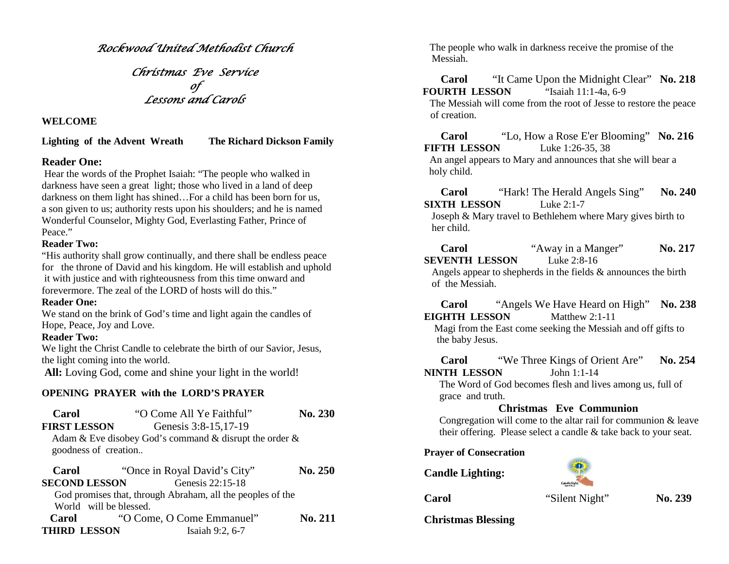*Rockwood United Methodist Church*

*Christmas Eve Service of Lessons and Carols*

#### **WELCOME**

**Lighting of the Advent Wreath The Richard Dickson Family**

## **Reader One:**

Hear the words of the Prophet Isaiah: "The people who walked in darkness have seen a great light; those who lived in a land of deep darkness on them light has shined…For a child has been born for us, a son given to us; authority rests upon his shoulders; and he is named Wonderful Counselor, Mighty God, Everlasting Father, Prince of Peace."

### **Reader Two:**

"His authority shall grow continually, and there shall be endless peace for the throne of David and his kingdom. He will establish and uphold it with justice and with righteousness from this time onward and forevermore. The zeal of the LORD of hosts will do this."

### **Reader One:**

We stand on the brink of God's time and light again the candles of Hope, Peace, Joy and Love.

### **Reader Two:**

We light the Christ Candle to celebrate the birth of our Savior, Jesus, the light coming into the world.

**All:** Loving God, come and shine your light in the world!

## **OPENING PRAYER with the LORD'S PRAYER**

| Carol                  | "O Come All Ye Faithful"                                   | <b>No. 230</b> |
|------------------------|------------------------------------------------------------|----------------|
| <b>FIRST LESSON</b>    | Genesis 3:8-15,17-19                                       |                |
| goodness of creation   | Adam & Eve disobey God's command & disrupt the order $\&$  |                |
| Carol                  | "Once in Royal David's City"                               | <b>No. 250</b> |
| <b>SECOND LESSON</b>   | Genesis 22:15-18                                           |                |
|                        | God promises that, through Abraham, all the peoples of the |                |
| World will be blessed. |                                                            |                |
| Carol                  | "O Come, O Come Emmanuel"                                  | <b>No. 211</b> |
| <b>THIRD LESSON</b>    | Isaiah 9:2, 6-7                                            |                |

The people who walk in darkness receive the promise of the Messiah.

**Carol** "It Came Upon the Midnight Clear" **No. 218 FOURTH LESSON** "Isaiah 11:1-4a, 6-9 The Messiah will come from the root of Jesse to restore the peace of creation.

**Carol** "Lo, How a Rose E'er Blooming" **No. 216 FIFTH LESSON** Luke 1:26-35, 38 An angel appears to Mary and announces that she will bear a holy child.

**Carol** "Hark! The Herald Angels Sing" **No. 240 SIXTH LESSON** Luke 2:1-7

Joseph & Mary travel to Bethlehem where Mary gives birth to her child.

**Carol** "Away in a Manger" **No. 217 SEVENTH LESSON** Luke 2:8-16

Angels appear to shepherds in the fields & announces the birth of the Messiah.

**Carol** "Angels We Have Heard on High" **No. 238 EIGHTH LESSON** Matthew 2:1-11

Magi from the East come seeking the Messiah and off gifts to the baby Jesus.

**Carol** "We Three Kings of Orient Are" **No. 254 NINTH LESSON** John 1:1-14

The Word of God becomes flesh and lives among us, full of grace and truth.

# **Christmas Eve Communion**

Congregation will come to the altar rail for communion & leave their offering. Please select a candle & take back to your seat.

#### **Prayer of Consecration**

**Candle Lighting:**



**Carol** "Silent Night" **No. 239**

**Christmas Blessing**